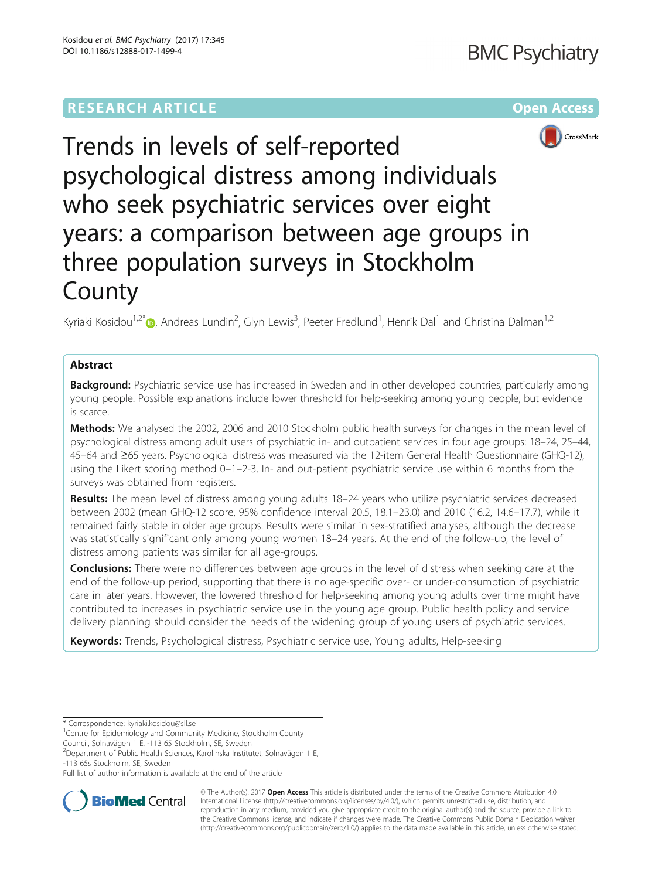# **RESEARCH ARTICLE Example 2014 12:30 The Community Community Community Community Community Community Community**





Trends in levels of self-reported psychological distress among individuals who seek psychiatric services over eight years: a comparison between age groups in three population surveys in Stockholm County

Kyriaki Kosidou $^{1,2^*}$  $^{1,2^*}$  $^{1,2^*}$ D, Andreas Lundin $^2$ , Glyn Lewis $^3$ , Peeter Fredlund $^1$ , Henrik Dal $^1$  and Christina Dalman $^{1,2}$ 

## Abstract

**Background:** Psychiatric service use has increased in Sweden and in other developed countries, particularly among young people. Possible explanations include lower threshold for help-seeking among young people, but evidence is scarce.

Methods: We analysed the 2002, 2006 and 2010 Stockholm public health surveys for changes in the mean level of psychological distress among adult users of psychiatric in- and outpatient services in four age groups: 18–24, 25–44, 45–64 and ≥65 years. Psychological distress was measured via the 12-item General Health Questionnaire (GHQ-12), using the Likert scoring method 0–1–2-3. In- and out-patient psychiatric service use within 6 months from the surveys was obtained from registers.

Results: The mean level of distress among young adults 18–24 years who utilize psychiatric services decreased between 2002 (mean GHQ-12 score, 95% confidence interval 20.5, 18.1–23.0) and 2010 (16.2, 14.6–17.7), while it remained fairly stable in older age groups. Results were similar in sex-stratified analyses, although the decrease was statistically significant only among young women 18–24 years. At the end of the follow-up, the level of distress among patients was similar for all age-groups.

**Conclusions:** There were no differences between age groups in the level of distress when seeking care at the end of the follow-up period, supporting that there is no age-specific over- or under-consumption of psychiatric care in later years. However, the lowered threshold for help-seeking among young adults over time might have contributed to increases in psychiatric service use in the young age group. Public health policy and service delivery planning should consider the needs of the widening group of young users of psychiatric services.

Keywords: Trends, Psychological distress, Psychiatric service use, Young adults, Help-seeking

Full list of author information is available at the end of the article



© The Author(s). 2017 **Open Access** This article is distributed under the terms of the Creative Commons Attribution 4.0 International License [\(http://creativecommons.org/licenses/by/4.0/](http://creativecommons.org/licenses/by/4.0/)), which permits unrestricted use, distribution, and reproduction in any medium, provided you give appropriate credit to the original author(s) and the source, provide a link to the Creative Commons license, and indicate if changes were made. The Creative Commons Public Domain Dedication waiver [\(http://creativecommons.org/publicdomain/zero/1.0/](http://creativecommons.org/publicdomain/zero/1.0/)) applies to the data made available in this article, unless otherwise stated.

<sup>\*</sup> Correspondence: [kyriaki.kosidou@sll.se](mailto:kyriaki.kosidou@sll.se) <sup>1</sup>

<sup>&</sup>lt;sup>1</sup>Centre for Epidemiology and Community Medicine, Stockholm County

Council, Solnavägen 1 E, -113 65 Stockholm, SE, Sweden

<sup>2</sup> Department of Public Health Sciences, Karolinska Institutet, Solnavägen 1 E, -113 65s Stockholm, SE, Sweden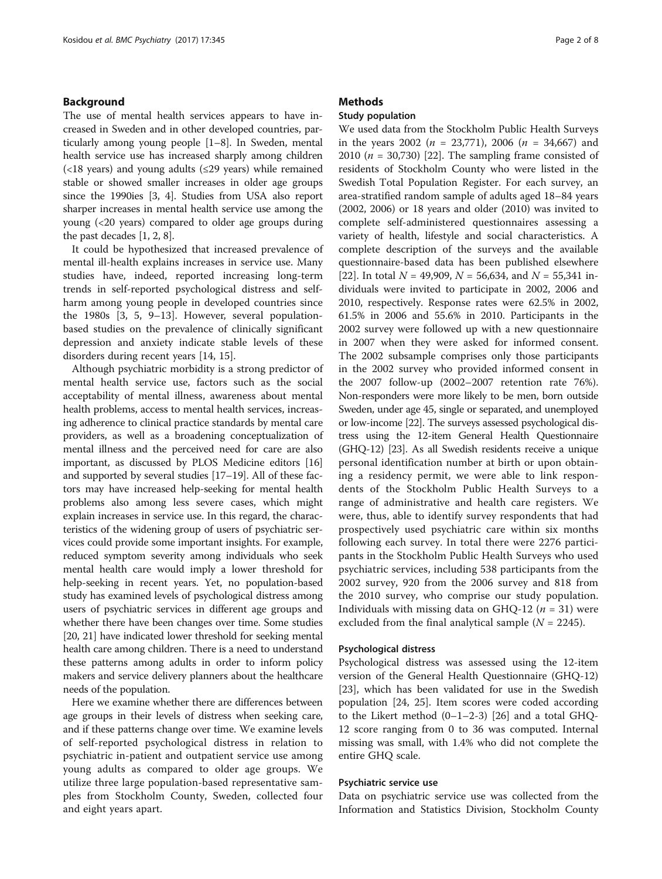### Background

The use of mental health services appears to have increased in Sweden and in other developed countries, particularly among young people [[1](#page-6-0)–[8](#page-7-0)]. In Sweden, mental health service use has increased sharply among children  $\left($  <18 years) and young adults ( $\leq$  29 years) while remained stable or showed smaller increases in older age groups since the 1990ies [\[3, 4](#page-7-0)]. Studies from USA also report sharper increases in mental health service use among the young (<20 years) compared to older age groups during the past decades [[1, 2](#page-6-0), [8\]](#page-7-0).

It could be hypothesized that increased prevalence of mental ill-health explains increases in service use. Many studies have, indeed, reported increasing long-term trends in self-reported psychological distress and selfharm among young people in developed countries since the 1980s [[3, 5, 9](#page-7-0)–[13](#page-7-0)]. However, several populationbased studies on the prevalence of clinically significant depression and anxiety indicate stable levels of these disorders during recent years [\[14, 15\]](#page-7-0).

Although psychiatric morbidity is a strong predictor of mental health service use, factors such as the social acceptability of mental illness, awareness about mental health problems, access to mental health services, increasing adherence to clinical practice standards by mental care providers, as well as a broadening conceptualization of mental illness and the perceived need for care are also important, as discussed by PLOS Medicine editors [[16](#page-7-0)] and supported by several studies [[17](#page-7-0)–[19\]](#page-7-0). All of these factors may have increased help-seeking for mental health problems also among less severe cases, which might explain increases in service use. In this regard, the characteristics of the widening group of users of psychiatric services could provide some important insights. For example, reduced symptom severity among individuals who seek mental health care would imply a lower threshold for help-seeking in recent years. Yet, no population-based study has examined levels of psychological distress among users of psychiatric services in different age groups and whether there have been changes over time. Some studies [[20](#page-7-0), [21](#page-7-0)] have indicated lower threshold for seeking mental health care among children. There is a need to understand these patterns among adults in order to inform policy makers and service delivery planners about the healthcare needs of the population.

Here we examine whether there are differences between age groups in their levels of distress when seeking care, and if these patterns change over time. We examine levels of self-reported psychological distress in relation to psychiatric in-patient and outpatient service use among young adults as compared to older age groups. We utilize three large population-based representative samples from Stockholm County, Sweden, collected four and eight years apart.

### **Methods**

### Study population

We used data from the Stockholm Public Health Surveys in the years 2002 ( $n = 23,771$ ), 2006 ( $n = 34,667$ ) and 2010 ( $n = 30,730$ ) [[22](#page-7-0)]. The sampling frame consisted of residents of Stockholm County who were listed in the Swedish Total Population Register. For each survey, an area-stratified random sample of adults aged 18–84 years (2002, 2006) or 18 years and older (2010) was invited to complete self-administered questionnaires assessing a variety of health, lifestyle and social characteristics. A complete description of the surveys and the available questionnaire-based data has been published elsewhere [[22\]](#page-7-0). In total  $N = 49,909$ ,  $N = 56,634$ , and  $N = 55,341$  individuals were invited to participate in 2002, 2006 and 2010, respectively. Response rates were 62.5% in 2002, 61.5% in 2006 and 55.6% in 2010. Participants in the 2002 survey were followed up with a new questionnaire in 2007 when they were asked for informed consent. The 2002 subsample comprises only those participants in the 2002 survey who provided informed consent in the 2007 follow-up (2002–2007 retention rate 76%). Non-responders were more likely to be men, born outside Sweden, under age 45, single or separated, and unemployed or low-income [[22](#page-7-0)]. The surveys assessed psychological distress using the 12-item General Health Questionnaire (GHQ-12) [\[23\]](#page-7-0). As all Swedish residents receive a unique personal identification number at birth or upon obtaining a residency permit, we were able to link respondents of the Stockholm Public Health Surveys to a range of administrative and health care registers. We were, thus, able to identify survey respondents that had prospectively used psychiatric care within six months following each survey. In total there were 2276 participants in the Stockholm Public Health Surveys who used psychiatric services, including 538 participants from the 2002 survey, 920 from the 2006 survey and 818 from the 2010 survey, who comprise our study population. Individuals with missing data on GHQ-12 ( $n = 31$ ) were excluded from the final analytical sample ( $N = 2245$ ).

### Psychological distress

Psychological distress was assessed using the 12-item version of the General Health Questionnaire (GHQ-12) [[23\]](#page-7-0), which has been validated for use in the Swedish population [\[24](#page-7-0), [25\]](#page-7-0). Item scores were coded according to the Likert method  $(0-1-2-3)$  [[26\]](#page-7-0) and a total GHQ-12 score ranging from 0 to 36 was computed. Internal missing was small, with 1.4% who did not complete the entire GHQ scale.

### Psychiatric service use

Data on psychiatric service use was collected from the Information and Statistics Division, Stockholm County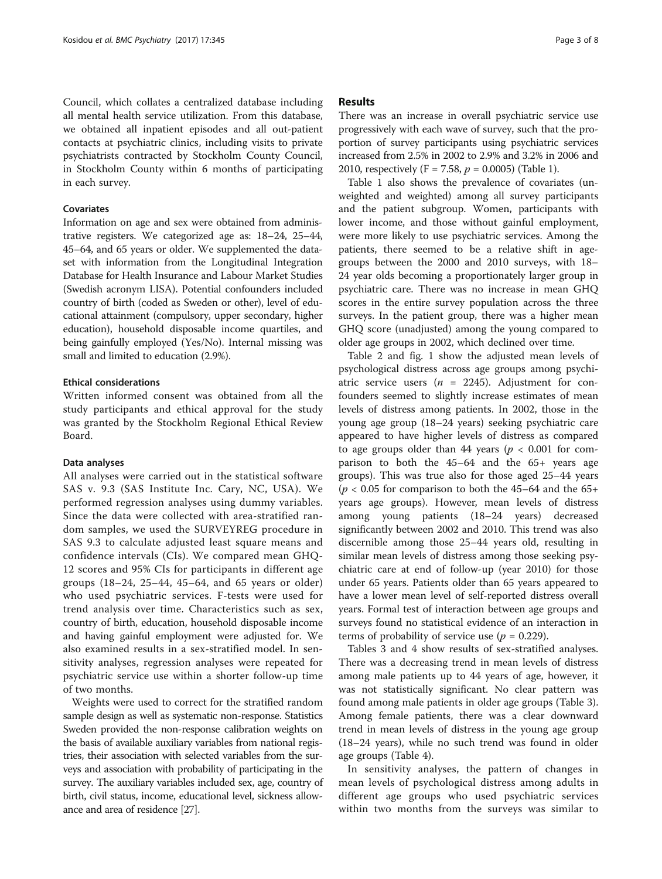Council, which collates a centralized database including all mental health service utilization. From this database, we obtained all inpatient episodes and all out-patient contacts at psychiatric clinics, including visits to private psychiatrists contracted by Stockholm County Council, in Stockholm County within 6 months of participating in each survey.

### Covariates

Information on age and sex were obtained from administrative registers. We categorized age as: 18–24, 25–44, 45–64, and 65 years or older. We supplemented the dataset with information from the Longitudinal Integration Database for Health Insurance and Labour Market Studies (Swedish acronym LISA). Potential confounders included country of birth (coded as Sweden or other), level of educational attainment (compulsory, upper secondary, higher education), household disposable income quartiles, and being gainfully employed (Yes/No). Internal missing was small and limited to education (2.9%).

### Ethical considerations

Written informed consent was obtained from all the study participants and ethical approval for the study was granted by the Stockholm Regional Ethical Review Board.

### Data analyses

All analyses were carried out in the statistical software SAS v. 9.3 (SAS Institute Inc. Cary, NC, USA). We performed regression analyses using dummy variables. Since the data were collected with area-stratified random samples, we used the SURVEYREG procedure in SAS 9.3 to calculate adjusted least square means and confidence intervals (CIs). We compared mean GHQ-12 scores and 95% CIs for participants in different age groups (18–24, 25–44, 45–64, and 65 years or older) who used psychiatric services. F-tests were used for trend analysis over time. Characteristics such as sex, country of birth, education, household disposable income and having gainful employment were adjusted for. We also examined results in a sex-stratified model. In sensitivity analyses, regression analyses were repeated for psychiatric service use within a shorter follow-up time of two months.

Weights were used to correct for the stratified random sample design as well as systematic non-response. Statistics Sweden provided the non-response calibration weights on the basis of available auxiliary variables from national registries, their association with selected variables from the surveys and association with probability of participating in the survey. The auxiliary variables included sex, age, country of birth, civil status, income, educational level, sickness allowance and area of residence [\[27\]](#page-7-0).

### Results

There was an increase in overall psychiatric service use progressively with each wave of survey, such that the proportion of survey participants using psychiatric services increased from 2.5% in 2002 to 2.9% and 3.2% in 2006 and 2010, respectively (F = 7.58,  $p = 0.0005$ ) (Table [1](#page-3-0)).

Table [1](#page-3-0) also shows the prevalence of covariates (unweighted and weighted) among all survey participants and the patient subgroup. Women, participants with lower income, and those without gainful employment, were more likely to use psychiatric services. Among the patients, there seemed to be a relative shift in agegroups between the 2000 and 2010 surveys, with 18– 24 year olds becoming a proportionately larger group in psychiatric care. There was no increase in mean GHQ scores in the entire survey population across the three surveys. In the patient group, there was a higher mean GHQ score (unadjusted) among the young compared to older age groups in 2002, which declined over time.

Table [2](#page-4-0) and fig. [1](#page-4-0) show the adjusted mean levels of psychological distress across age groups among psychiatric service users  $(n = 2245)$ . Adjustment for confounders seemed to slightly increase estimates of mean levels of distress among patients. In 2002, those in the young age group (18–24 years) seeking psychiatric care appeared to have higher levels of distress as compared to age groups older than 44 years ( $p < 0.001$  for comparison to both the 45–64 and the 65+ years age groups). This was true also for those aged 25–44 years ( $p < 0.05$  for comparison to both the 45–64 and the 65+ years age groups). However, mean levels of distress among young patients (18–24 years) decreased significantly between 2002 and 2010. This trend was also discernible among those 25–44 years old, resulting in similar mean levels of distress among those seeking psychiatric care at end of follow-up (year 2010) for those under 65 years. Patients older than 65 years appeared to have a lower mean level of self-reported distress overall years. Formal test of interaction between age groups and surveys found no statistical evidence of an interaction in terms of probability of service use  $(p = 0.229)$ .

Tables [3](#page-5-0) and [4](#page-5-0) show results of sex-stratified analyses. There was a decreasing trend in mean levels of distress among male patients up to 44 years of age, however, it was not statistically significant. No clear pattern was found among male patients in older age groups (Table [3](#page-5-0)). Among female patients, there was a clear downward trend in mean levels of distress in the young age group (18–24 years), while no such trend was found in older age groups (Table [4](#page-5-0)).

In sensitivity analyses, the pattern of changes in mean levels of psychological distress among adults in different age groups who used psychiatric services within two months from the surveys was similar to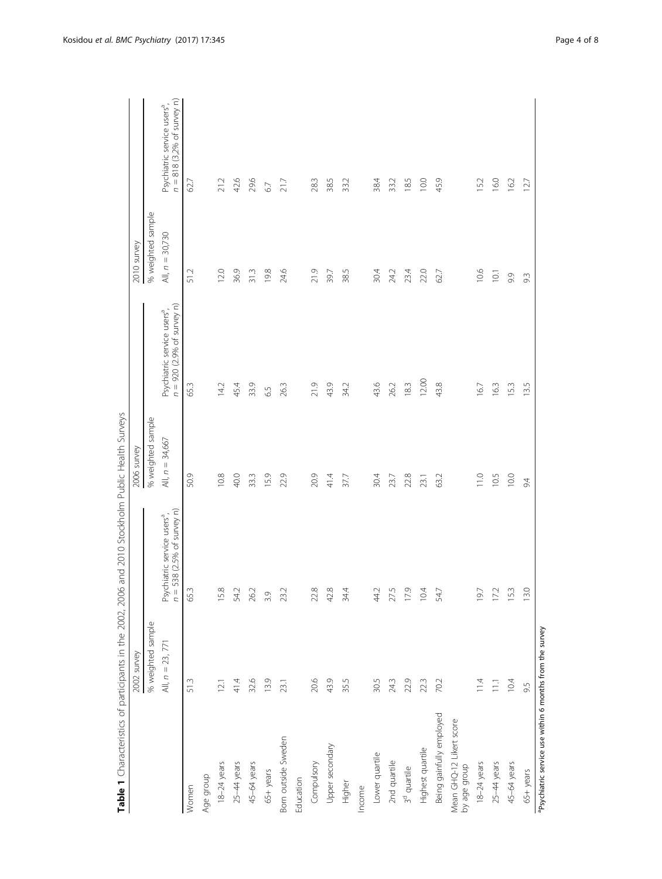<span id="page-3-0"></span>

| 42.6<br>21.2<br>29.6<br>21.7<br>38.5<br>33.2<br>38.4<br>33.2<br>18.5<br>10.0<br>45.9<br>15.2<br>16.0<br>16.2<br>28.3<br>62.7<br>67<br>% weighted sample<br>All, $n = 30,730$<br>36.9<br>24.6<br>512<br>12.0<br>313<br>19.8<br>21.9<br>385<br>30.4<br>22.0<br>10.6<br>39.7<br>24.2<br>23.4<br>62.7<br>10.1<br>9.9<br>$n = 920$ (2.9% of survey n)<br>Psychiatric service users <sup>a</sup> ,<br>12.00<br>33.9<br>43.9<br>43.6<br>43.8<br>65.3<br>45.4<br>26.3<br>21.9<br>34.2<br>26.2<br>183<br>16.7<br>16.3<br>15.3<br>14.2<br>6.5<br>% weighted sample<br>All, $n = 34,667$<br>50.9<br>40.0<br>10.0<br>10.8<br>33.3<br>15.9<br>22.9<br>20.9<br>41.4<br>30.4<br>22.8<br>11.0<br>10.5<br>37.7<br>23.7<br>63.2<br>23.1<br>Psychiatric service users <sup>a</sup> ,<br>n = 538 (2.5% of survey n)<br>15.8<br>65.3<br>54.2<br>26.2<br>23.2<br>22.8<br>42.8<br>27.5<br>17.9<br>10.4<br>17.2<br>15.3<br>34.4<br>44.2<br>54.7<br>19.7<br>3.9<br>% weighted sample<br>All, $n = 23, 771$<br>10.4<br>41.4<br>32.6<br>13.9<br>43.9<br>30.5<br>11.4<br>513<br>20.6<br>35.5<br>243<br>22.9<br>70.2<br>223<br>11.1<br>12.1<br>23.1<br>Being gainfully employed<br>Born outside Sweden<br>Upper secondary<br>Highest quartile<br>Lower quartile<br>2nd quartile<br>$25-44$ years<br>45-64 years<br>Compulsory<br>18-24 years<br>25-44 years<br>45-64 years<br>18-24 years<br>py age group<br>3 <sup>d</sup> quartile<br>$65 + y \neq$<br>Higher<br>Women |              | 2002 survey |      | 2006 survey |      | 2010 survey |                                                                          |
|---------------------------------------------------------------------------------------------------------------------------------------------------------------------------------------------------------------------------------------------------------------------------------------------------------------------------------------------------------------------------------------------------------------------------------------------------------------------------------------------------------------------------------------------------------------------------------------------------------------------------------------------------------------------------------------------------------------------------------------------------------------------------------------------------------------------------------------------------------------------------------------------------------------------------------------------------------------------------------------------------------------------------------------------------------------------------------------------------------------------------------------------------------------------------------------------------------------------------------------------------------------------------------------------------------------------------------------------------------------------------------------------------------------------------------------------|--------------|-------------|------|-------------|------|-------------|--------------------------------------------------------------------------|
|                                                                                                                                                                                                                                                                                                                                                                                                                                                                                                                                                                                                                                                                                                                                                                                                                                                                                                                                                                                                                                                                                                                                                                                                                                                                                                                                                                                                                                             |              |             |      |             |      |             |                                                                          |
|                                                                                                                                                                                                                                                                                                                                                                                                                                                                                                                                                                                                                                                                                                                                                                                                                                                                                                                                                                                                                                                                                                                                                                                                                                                                                                                                                                                                                                             |              |             |      |             |      |             | $n = 818$ (3,2% of survey n)<br>Psychiatric service users <sup>a</sup> , |
|                                                                                                                                                                                                                                                                                                                                                                                                                                                                                                                                                                                                                                                                                                                                                                                                                                                                                                                                                                                                                                                                                                                                                                                                                                                                                                                                                                                                                                             |              |             |      |             |      |             |                                                                          |
|                                                                                                                                                                                                                                                                                                                                                                                                                                                                                                                                                                                                                                                                                                                                                                                                                                                                                                                                                                                                                                                                                                                                                                                                                                                                                                                                                                                                                                             | Age group    |             |      |             |      |             |                                                                          |
| Mean GHQ-12 Likert score<br>Education<br>Income                                                                                                                                                                                                                                                                                                                                                                                                                                                                                                                                                                                                                                                                                                                                                                                                                                                                                                                                                                                                                                                                                                                                                                                                                                                                                                                                                                                             |              |             |      |             |      |             |                                                                          |
|                                                                                                                                                                                                                                                                                                                                                                                                                                                                                                                                                                                                                                                                                                                                                                                                                                                                                                                                                                                                                                                                                                                                                                                                                                                                                                                                                                                                                                             |              |             |      |             |      |             |                                                                          |
|                                                                                                                                                                                                                                                                                                                                                                                                                                                                                                                                                                                                                                                                                                                                                                                                                                                                                                                                                                                                                                                                                                                                                                                                                                                                                                                                                                                                                                             |              |             |      |             |      |             |                                                                          |
|                                                                                                                                                                                                                                                                                                                                                                                                                                                                                                                                                                                                                                                                                                                                                                                                                                                                                                                                                                                                                                                                                                                                                                                                                                                                                                                                                                                                                                             |              |             |      |             |      |             |                                                                          |
|                                                                                                                                                                                                                                                                                                                                                                                                                                                                                                                                                                                                                                                                                                                                                                                                                                                                                                                                                                                                                                                                                                                                                                                                                                                                                                                                                                                                                                             |              |             |      |             |      |             |                                                                          |
|                                                                                                                                                                                                                                                                                                                                                                                                                                                                                                                                                                                                                                                                                                                                                                                                                                                                                                                                                                                                                                                                                                                                                                                                                                                                                                                                                                                                                                             |              |             |      |             |      |             |                                                                          |
|                                                                                                                                                                                                                                                                                                                                                                                                                                                                                                                                                                                                                                                                                                                                                                                                                                                                                                                                                                                                                                                                                                                                                                                                                                                                                                                                                                                                                                             |              |             |      |             |      |             |                                                                          |
|                                                                                                                                                                                                                                                                                                                                                                                                                                                                                                                                                                                                                                                                                                                                                                                                                                                                                                                                                                                                                                                                                                                                                                                                                                                                                                                                                                                                                                             |              |             |      |             |      |             |                                                                          |
|                                                                                                                                                                                                                                                                                                                                                                                                                                                                                                                                                                                                                                                                                                                                                                                                                                                                                                                                                                                                                                                                                                                                                                                                                                                                                                                                                                                                                                             |              |             |      |             |      |             |                                                                          |
|                                                                                                                                                                                                                                                                                                                                                                                                                                                                                                                                                                                                                                                                                                                                                                                                                                                                                                                                                                                                                                                                                                                                                                                                                                                                                                                                                                                                                                             |              |             |      |             |      |             |                                                                          |
|                                                                                                                                                                                                                                                                                                                                                                                                                                                                                                                                                                                                                                                                                                                                                                                                                                                                                                                                                                                                                                                                                                                                                                                                                                                                                                                                                                                                                                             |              |             |      |             |      |             |                                                                          |
|                                                                                                                                                                                                                                                                                                                                                                                                                                                                                                                                                                                                                                                                                                                                                                                                                                                                                                                                                                                                                                                                                                                                                                                                                                                                                                                                                                                                                                             |              |             |      |             |      |             |                                                                          |
|                                                                                                                                                                                                                                                                                                                                                                                                                                                                                                                                                                                                                                                                                                                                                                                                                                                                                                                                                                                                                                                                                                                                                                                                                                                                                                                                                                                                                                             |              |             |      |             |      |             |                                                                          |
|                                                                                                                                                                                                                                                                                                                                                                                                                                                                                                                                                                                                                                                                                                                                                                                                                                                                                                                                                                                                                                                                                                                                                                                                                                                                                                                                                                                                                                             |              |             |      |             |      |             |                                                                          |
|                                                                                                                                                                                                                                                                                                                                                                                                                                                                                                                                                                                                                                                                                                                                                                                                                                                                                                                                                                                                                                                                                                                                                                                                                                                                                                                                                                                                                                             |              |             |      |             |      |             |                                                                          |
|                                                                                                                                                                                                                                                                                                                                                                                                                                                                                                                                                                                                                                                                                                                                                                                                                                                                                                                                                                                                                                                                                                                                                                                                                                                                                                                                                                                                                                             |              |             |      |             |      |             |                                                                          |
|                                                                                                                                                                                                                                                                                                                                                                                                                                                                                                                                                                                                                                                                                                                                                                                                                                                                                                                                                                                                                                                                                                                                                                                                                                                                                                                                                                                                                                             |              |             |      |             |      |             |                                                                          |
|                                                                                                                                                                                                                                                                                                                                                                                                                                                                                                                                                                                                                                                                                                                                                                                                                                                                                                                                                                                                                                                                                                                                                                                                                                                                                                                                                                                                                                             |              |             |      |             |      |             |                                                                          |
|                                                                                                                                                                                                                                                                                                                                                                                                                                                                                                                                                                                                                                                                                                                                                                                                                                                                                                                                                                                                                                                                                                                                                                                                                                                                                                                                                                                                                                             |              |             |      |             |      |             |                                                                          |
|                                                                                                                                                                                                                                                                                                                                                                                                                                                                                                                                                                                                                                                                                                                                                                                                                                                                                                                                                                                                                                                                                                                                                                                                                                                                                                                                                                                                                                             | $65 +$ years | 9.5         | 13.0 | 64          | 13.5 | 93          | 12.7                                                                     |

Vtorkholm Puhlic Health Sumer  $2010$ mone  $\sim$ J ć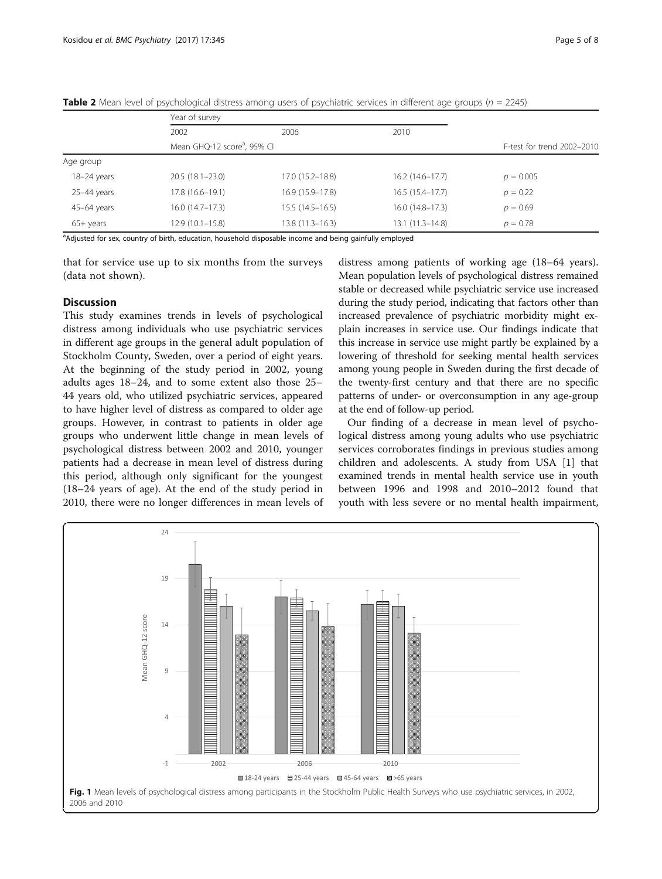|               | Year of survey                          |                  |                   |                            |  |
|---------------|-----------------------------------------|------------------|-------------------|----------------------------|--|
|               | 2002                                    | 2006             | 2010              |                            |  |
|               | Mean GHQ-12 score <sup>a</sup> , 95% CI |                  |                   | F-test for trend 2002-2010 |  |
| Age group     |                                         |                  |                   |                            |  |
| 18-24 years   | $20.5(18.1 - 23.0)$                     | 17.0 (15.2–18.8) | 16.2 (14.6-17.7)  | $p = 0.005$                |  |
| $25-44$ years | $17.8(16.6 - 19.1)$                     | 16.9 (15.9–17.8) | $16.5(15.4-17.7)$ | $p = 0.22$                 |  |
| 45-64 years   | $16.0(14.7-17.3)$                       | 15.5 (14.5–16.5) | 16.0 (14.8-17.3)  | $p = 0.69$                 |  |
| $65+$ years   | $12.9(10.1 - 15.8)$                     | 13.8 (11.3–16.3) | 13.1 (11.3–14.8)  | $p = 0.78$                 |  |

<span id="page-4-0"></span>**Table 2** Mean level of psychological distress among users of psychiatric services in different age groups ( $n = 2245$ )

a Adjusted for sex, country of birth, education, household disposable income and being gainfully employed

that for service use up to six months from the surveys (data not shown).

### Discussion

This study examines trends in levels of psychological distress among individuals who use psychiatric services in different age groups in the general adult population of Stockholm County, Sweden, over a period of eight years. At the beginning of the study period in 2002, young adults ages 18–24, and to some extent also those 25– 44 years old, who utilized psychiatric services, appeared to have higher level of distress as compared to older age groups. However, in contrast to patients in older age groups who underwent little change in mean levels of psychological distress between 2002 and 2010, younger patients had a decrease in mean level of distress during this period, although only significant for the youngest (18–24 years of age). At the end of the study period in 2010, there were no longer differences in mean levels of

distress among patients of working age (18–64 years). Mean population levels of psychological distress remained stable or decreased while psychiatric service use increased during the study period, indicating that factors other than increased prevalence of psychiatric morbidity might explain increases in service use. Our findings indicate that this increase in service use might partly be explained by a lowering of threshold for seeking mental health services among young people in Sweden during the first decade of the twenty-first century and that there are no specific patterns of under- or overconsumption in any age-group at the end of follow-up period.

Our finding of a decrease in mean level of psychological distress among young adults who use psychiatric services corroborates findings in previous studies among children and adolescents. A study from USA [\[1](#page-6-0)] that examined trends in mental health service use in youth between 1996 and 1998 and 2010–2012 found that youth with less severe or no mental health impairment,

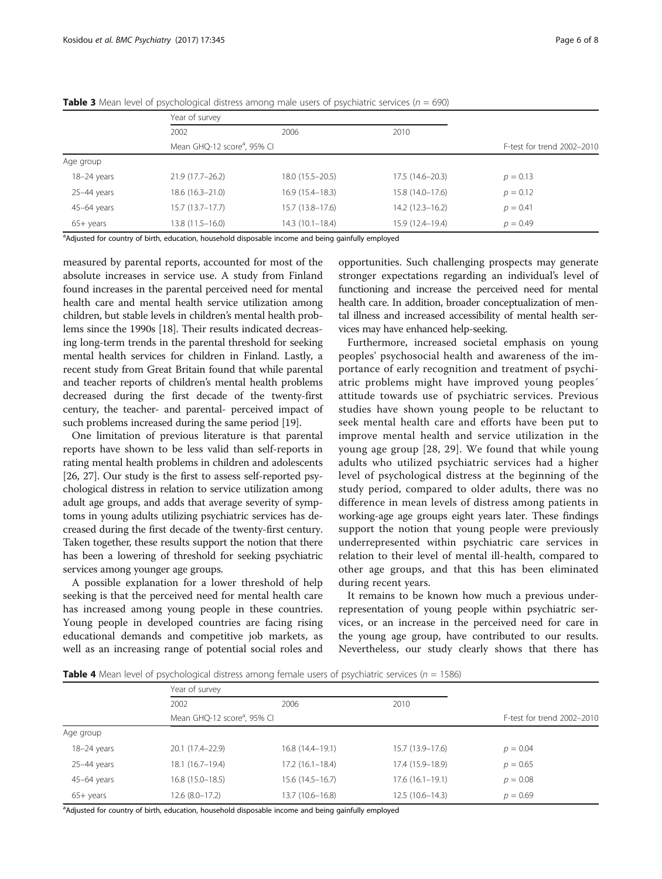|               | Year of survey                                                                                 |                     |                     |                            |  |
|---------------|------------------------------------------------------------------------------------------------|---------------------|---------------------|----------------------------|--|
|               | 2002                                                                                           | 2006                | 2010                |                            |  |
|               | Mean GHQ-12 score <sup>a</sup> , 95% CI                                                        |                     |                     | F-test for trend 2002-2010 |  |
| Age group     |                                                                                                |                     |                     |                            |  |
| 18-24 years   | $21.9(17.7 - 26.2)$                                                                            | 18.0 (15.5 - 20.5)  | $17.5(14.6-20.3)$   | $p = 0.13$                 |  |
| $25-44$ years | 18.6 (16.3-21.0)                                                                               | 16.9 (15.4–18.3)    | 15.8 (14.0-17.6)    | $p = 0.12$                 |  |
| 45-64 years   | $15.7(13.7-17.7)$                                                                              | 15.7 (13.8–17.6)    | $14.2(12.3 - 16.2)$ | $p = 0.41$                 |  |
| $65+$ years   | 13.8 (11.5-16.0)                                                                               | $14.3(10.1 - 18.4)$ | 15.9 (12.4-19.4)    | $p = 0.49$                 |  |
|               | bought to reuntant of history duration boughted disposable income and being gripfully employed |                     |                     |                            |  |

<span id="page-5-0"></span>**Table 3** Mean level of psychological distress among male users of psychiatric services ( $n = 690$ )

sted for country of birth, education, household disposable income and being gainfully employed

measured by parental reports, accounted for most of the absolute increases in service use. A study from Finland found increases in the parental perceived need for mental health care and mental health service utilization among children, but stable levels in children's mental health problems since the 1990s [[18](#page-7-0)]. Their results indicated decreasing long-term trends in the parental threshold for seeking mental health services for children in Finland. Lastly, a recent study from Great Britain found that while parental and teacher reports of children's mental health problems decreased during the first decade of the twenty-first century, the teacher- and parental- perceived impact of such problems increased during the same period [[19](#page-7-0)].

One limitation of previous literature is that parental reports have shown to be less valid than self-reports in rating mental health problems in children and adolescents [[26](#page-7-0), [27](#page-7-0)]. Our study is the first to assess self-reported psychological distress in relation to service utilization among adult age groups, and adds that average severity of symptoms in young adults utilizing psychiatric services has decreased during the first decade of the twenty-first century. Taken together, these results support the notion that there has been a lowering of threshold for seeking psychiatric services among younger age groups.

A possible explanation for a lower threshold of help seeking is that the perceived need for mental health care has increased among young people in these countries. Young people in developed countries are facing rising educational demands and competitive job markets, as well as an increasing range of potential social roles and

opportunities. Such challenging prospects may generate stronger expectations regarding an individual's level of functioning and increase the perceived need for mental health care. In addition, broader conceptualization of mental illness and increased accessibility of mental health services may have enhanced help-seeking.

Furthermore, increased societal emphasis on young peoples' psychosocial health and awareness of the importance of early recognition and treatment of psychiatric problems might have improved young peoples´ attitude towards use of psychiatric services. Previous studies have shown young people to be reluctant to seek mental health care and efforts have been put to improve mental health and service utilization in the young age group [[28](#page-7-0), [29](#page-7-0)]. We found that while young adults who utilized psychiatric services had a higher level of psychological distress at the beginning of the study period, compared to older adults, there was no difference in mean levels of distress among patients in working-age age groups eight years later. These findings support the notion that young people were previously underrepresented within psychiatric care services in relation to their level of mental ill-health, compared to other age groups, and that this has been eliminated during recent years.

It remains to be known how much a previous underrepresentation of young people within psychiatric services, or an increase in the perceived need for care in the young age group, have contributed to our results. Nevertheless, our study clearly shows that there has

**Table 4** Mean level of psychological distress among female users of psychiatric services ( $n = 1586$ )

|               | Year of survey                          |                     |                   |                            |
|---------------|-----------------------------------------|---------------------|-------------------|----------------------------|
|               | 2002                                    | 2006                | 2010              |                            |
|               | Mean GHQ-12 score <sup>a</sup> , 95% CI |                     |                   | F-test for trend 2002-2010 |
| Age group     |                                         |                     |                   |                            |
| 18-24 years   | 20.1 (17.4-22.9)                        | 16.8 (14.4-19.1)    | 15.7 (13.9–17.6)  | $p = 0.04$                 |
| $25-44$ years | 18.1 (16.7-19.4)                        | $17.2(16.1 - 18.4)$ | 17.4 (15.9-18.9)  | $p = 0.65$                 |
| 45-64 years   | $16.8(15.0 - 18.5)$                     | $15.6(14.5 - 16.7)$ | $17.6(16.1-19.1)$ | $p = 0.08$                 |
| $65+$ years   | $12.6(8.0-17.2)$                        | 13.7 (10.6-16.8)    | 12.5 (10.6-14.3)  | $p = 0.69$                 |

<sup>a</sup>Adjusted for country of birth, education, household disposable income and being gainfully employed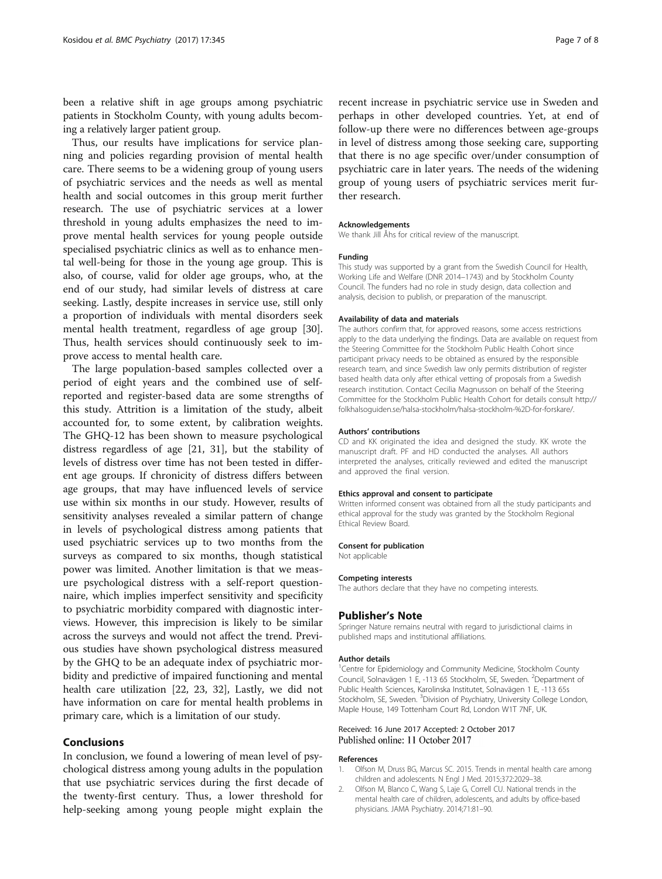<span id="page-6-0"></span>been a relative shift in age groups among psychiatric patients in Stockholm County, with young adults becoming a relatively larger patient group.

Thus, our results have implications for service planning and policies regarding provision of mental health care. There seems to be a widening group of young users of psychiatric services and the needs as well as mental health and social outcomes in this group merit further research. The use of psychiatric services at a lower threshold in young adults emphasizes the need to improve mental health services for young people outside specialised psychiatric clinics as well as to enhance mental well-being for those in the young age group. This is also, of course, valid for older age groups, who, at the end of our study, had similar levels of distress at care seeking. Lastly, despite increases in service use, still only a proportion of individuals with mental disorders seek mental health treatment, regardless of age group [\[30](#page-7-0)]. Thus, health services should continuously seek to improve access to mental health care.

The large population-based samples collected over a period of eight years and the combined use of selfreported and register-based data are some strengths of this study. Attrition is a limitation of the study, albeit accounted for, to some extent, by calibration weights. The GHQ-12 has been shown to measure psychological distress regardless of age [\[21](#page-7-0), [31](#page-7-0)], but the stability of levels of distress over time has not been tested in different age groups. If chronicity of distress differs between age groups, that may have influenced levels of service use within six months in our study. However, results of sensitivity analyses revealed a similar pattern of change in levels of psychological distress among patients that used psychiatric services up to two months from the surveys as compared to six months, though statistical power was limited. Another limitation is that we measure psychological distress with a self-report questionnaire, which implies imperfect sensitivity and specificity to psychiatric morbidity compared with diagnostic interviews. However, this imprecision is likely to be similar across the surveys and would not affect the trend. Previous studies have shown psychological distress measured by the GHQ to be an adequate index of psychiatric morbidity and predictive of impaired functioning and mental health care utilization [[22, 23, 32](#page-7-0)], Lastly, we did not have information on care for mental health problems in primary care, which is a limitation of our study.

#### Conclusions

In conclusion, we found a lowering of mean level of psychological distress among young adults in the population that use psychiatric services during the first decade of the twenty-first century. Thus, a lower threshold for help-seeking among young people might explain the

recent increase in psychiatric service use in Sweden and perhaps in other developed countries. Yet, at end of follow-up there were no differences between age-groups in level of distress among those seeking care, supporting that there is no age specific over/under consumption of psychiatric care in later years. The needs of the widening group of young users of psychiatric services merit further research.

#### Acknowledgements

We thank Jill Åhs for critical review of the manuscript.

#### Funding

This study was supported by a grant from the Swedish Council for Health, Working Life and Welfare (DNR 2014–1743) and by Stockholm County Council. The funders had no role in study design, data collection and analysis, decision to publish, or preparation of the manuscript.

#### Availability of data and materials

The authors confirm that, for approved reasons, some access restrictions apply to the data underlying the findings. Data are available on request from the Steering Committee for the Stockholm Public Health Cohort since participant privacy needs to be obtained as ensured by the responsible research team, and since Swedish law only permits distribution of register based health data only after ethical vetting of proposals from a Swedish research institution. Contact Cecilia Magnusson on behalf of the Steering Committee for the Stockholm Public Health Cohort for details consult [http://](http://folkhalsoguiden.se/halsa-stockholm/halsa-stockholm-%2D-for-forskare/) [folkhalsoguiden.se/halsa-stockholm/halsa-stockholm-%2D-for-forskare/.](http://folkhalsoguiden.se/halsa-stockholm/halsa-stockholm-%2D-for-forskare/)

#### Authors' contributions

CD and KK originated the idea and designed the study. KK wrote the manuscript draft. PF and HD conducted the analyses. All authors interpreted the analyses, critically reviewed and edited the manuscript and approved the final version.

#### Ethics approval and consent to participate

Written informed consent was obtained from all the study participants and ethical approval for the study was granted by the Stockholm Regional Ethical Review Board.

#### Consent for publication

Not applicable

#### Competing interests

The authors declare that they have no competing interests.

#### Publisher's Note

Springer Nature remains neutral with regard to jurisdictional claims in published maps and institutional affiliations.

#### Author details

<sup>1</sup> Centre for Epidemiology and Community Medicine, Stockholm County Council, Solnavägen 1 E, -113 65 Stockholm, SE, Sweden. <sup>2</sup>Department of Public Health Sciences, Karolinska Institutet, Solnavägen 1 E, -113 65s Stockholm, SE, Sweden. <sup>3</sup> Division of Psychiatry, University College London Maple House, 149 Tottenham Court Rd, London W1T 7NF, UK.

#### Received: 16 June 2017 Accepted: 2 October 2017 Published online: 11 October 2017

#### References

- 1. Olfson M, Druss BG, Marcus SC. 2015. Trends in mental health care among children and adolescents. N Engl J Med. 2015;372:2029–38.
- 2. Olfson M, Blanco C, Wang S, Laje G, Correll CU. National trends in the mental health care of children, adolescents, and adults by office-based physicians. JAMA Psychiatry. 2014;71:81–90.